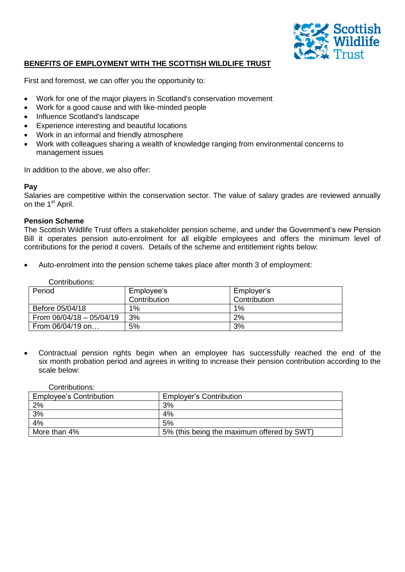

# **BENEFITS OF EMPLOYMENT WITH THE SCOTTISH WILDLIFE TRUST**

First and foremost, we can offer you the opportunity to:

- Work for one of the major players in Scotland's conservation movement
- Work for a good cause and with like-minded people
- Influence Scotland's landscape
- Experience interesting and beautiful locations
- Work in an informal and friendly atmosphere
- Work with colleagues sharing a wealth of knowledge ranging from environmental concerns to management issues

In addition to the above, we also offer:

### **Pay**

Salaries are competitive within the conservation sector. The value of salary grades are reviewed annually on the 1<sup>st</sup> April.

### **Pension Scheme**

The Scottish Wildlife Trust offers a stakeholder pension scheme, and under the Government's new Pension Bill it operates pension auto-enrolment for all eligible employees and offers the minimum level of contributions for the period it covers. Details of the scheme and entitlement rights below:

Auto-enrolment into the pension scheme takes place after month 3 of employment:

#### Contributions:

| Period                     | Employee's<br>Contribution | Employer's<br>Contribution |
|----------------------------|----------------------------|----------------------------|
| Before 05/04/18            | $1\%$                      | 1%                         |
| From $06/04/18 - 05/04/19$ | 3%                         | 2%                         |
| From 06/04/19 on           | 5%                         | 3%                         |

 Contractual pension rights begin when an employee has successfully reached the end of the six month probation period and agrees in writing to increase their pension contribution according to the scale below:

#### Contributions:

| <b>Employee's Contribution</b> | <b>Employer's Contribution</b>             |
|--------------------------------|--------------------------------------------|
| 2%                             | 3%                                         |
| 3%                             | 4%                                         |
| 4%                             | 5%                                         |
| More than 4%                   | 5% (this being the maximum offered by SWT) |